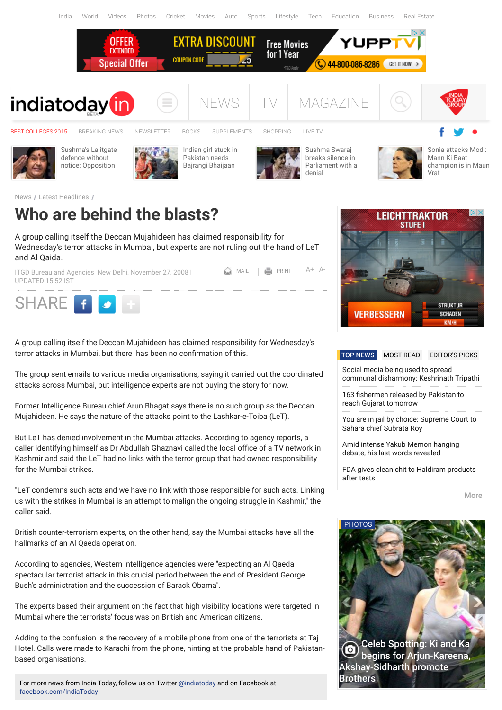

 $MAL$   $\overline{P}$  PRINT  $A+A$  $A+A$ 

[News](http://indiatoday.intoday.in/) / [Latest Headlines](http://indiatoday.intoday.in/section/4/1/latest-headlines.html) /

## **Who are behind the blasts?**

A group calling itself the Deccan Mujahideen has claimed responsibility for Wednesday's terror attacks in Mumbai, but experts are not ruling out the hand of LeT and Al Qaida.

[ITGD Bureau a](http://indiatoday.intoday.in/author/ITGD-Bureau-/1.html)nd [Agencies](http://indiatoday.intoday.in/author/-Agencies/1.html) New Delhi, November 27, 2008 | UPDATED 15:52 IST



A group calling itself the Deccan Mujahideen has claimed responsibility for Wednesday's terror attacks in Mumbai, but there has been no confirmation of this.

The group sent emails to various media organisations, saying it carried out the coordinated attacks across Mumbai, but intelligence experts are not buying the story for now.

Former Intelligence Bureau chief Arun Bhagat says there is no such group as the Deccan Mujahideen. He says the nature of the attacks point to the Lashkar-e-Toiba (LeT).

But LeT has denied involvement in the Mumbai attacks. According to agency reports, a caller identifying himself as Dr Abdullah Ghaznavi called the local office of a TV network in Kashmir and said the LeT had no links with the terror group that had owned responsibility for the Mumbai strikes.

"LeT condemns such acts and we have no link with those responsible for such acts. Linking us with the strikes in Mumbai is an attempt to malign the ongoing struggle in Kashmir," the caller said.

British counter-terrorism experts, on the other hand, say the Mumbai attacks have all the hallmarks of an Al Qaeda operation.

According to agencies, Western intelligence agencies were "expecting an Al Qaeda spectacular terrorist attack in this crucial period between the end of President George Bush's administration and the succession of Barack Obama".

The experts based their argument on the fact that high visibility locations were targeted in Mumbai where the terrorists' focus was on British and American citizens.

Adding to the confusion is the recovery of a mobile phone from one of the terrorists at Taj Hotel. Calls were made to Karachi from the phone, hinting at the probable hand of Pakistanbased organisations.

For more news from India Today, follow us on Twitter [@indiatoday](https://twitter.com/indiatoday) and on Facebook at [facebook.com/IndiaToday](https://www.facebook.com/IndiaToday)



### [TOP NEWS](javascript:void(0);) [MOST READ](javascript:void(0);) [EDITOR'S PICKS](javascript:void(0);)

Social media being used to spread [communal disharmony: Keshrinath Tripathi](http://indiatoday.intoday.in/story/social-media-being-used-to-spread-communal-disharmony-in-india-keshrinath-tripathi/1/455996.html)

163 fishermen released by Pakistan to reach Gujarat tomorrow

[You are in jail by choice: Supreme Court to](http://indiatoday.intoday.in/story/subrata-roy-jail-sahara-supreme-court/1/455989.html) Sahara chief Subrata Roy

[Amid intense Yakub Memon hanging](http://indiatoday.intoday.in/story/yakub-memon-last-words-main-aapko-maaf-karta-hoon-1993-mumbai-serial-blasts-tiger-memon/1/455971.html) debate, his last words revealed

[FDA gives clean chit to Haldiram products](http://indiatoday.intoday.in/story/haldiram-products-fda-maharashtra-clean-chit-no-lead-bacteria-sample-tests/1/455969.html) after tests

[More](http://indiatoday.intoday.in/section/268/1/latest-of-the-lot.html)

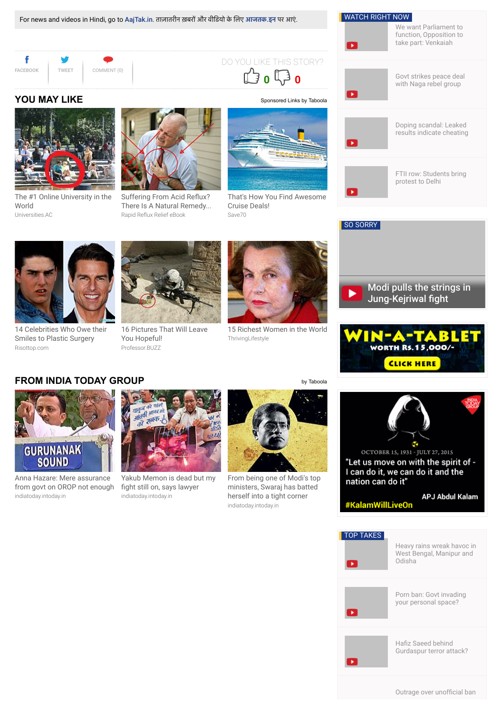

## **FROM INDIA TODAY GROUP [by Taboola](http://www.taboola.com/en/popup?template=colorbox&taboola_utm_source=indiatoday-indiatoday&taboola_utm_medium=bytaboola&taboola_utm_content=hybrid-text-links-2c:text-2-columns:)**



indiatoday.intoday.in Anna Hazare: Mere assurance [from govt on OROP not enough](http://indiatoday.intoday.in/story/anna-hazare-mere-assurance-from-government-on-orop-not-enough/1/454145.html?utm_source=taboola&utm_medium=referral)



indiatoday.intoday.in [Yakub Memon is dead but my](http://indiatoday.intoday.in/story/yakub-is-dead-but-my-fight-still-on-anand-grover/1/455259.html?utm_source=taboola&utm_medium=referral) fight still on, says lawyer



indiatoday.intoday.in [From being one of Modi's top](http://indiatoday.intoday.in/story/sushma-swaraj-lalit-modi-narendra-modi-ipl/1/445628.html?utm_source=taboola&utm_medium=referral) ministers, Swaraj has batted herself into a tight corner

**CLICK HERE** 

OCTOBER 15, 1931 - JULY 27, 2015 "Let us move on with the spirit of -I can do it, we can do it and the nation can do it"

#KalamWillLiveOn

**APJ Abdul Kalam** 

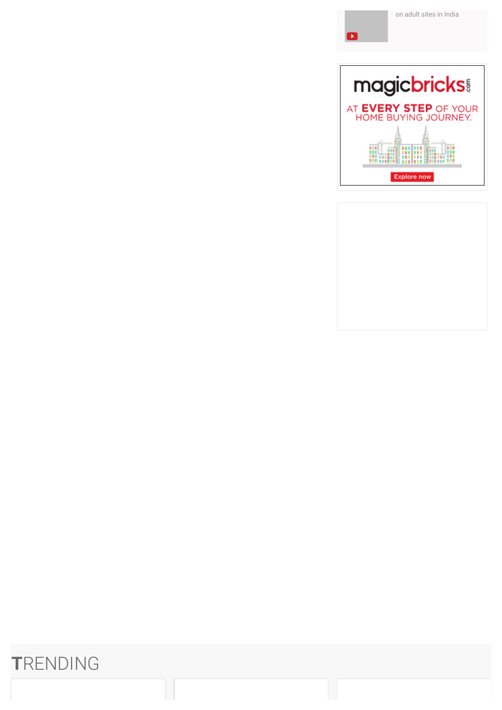



# **T**RENDING